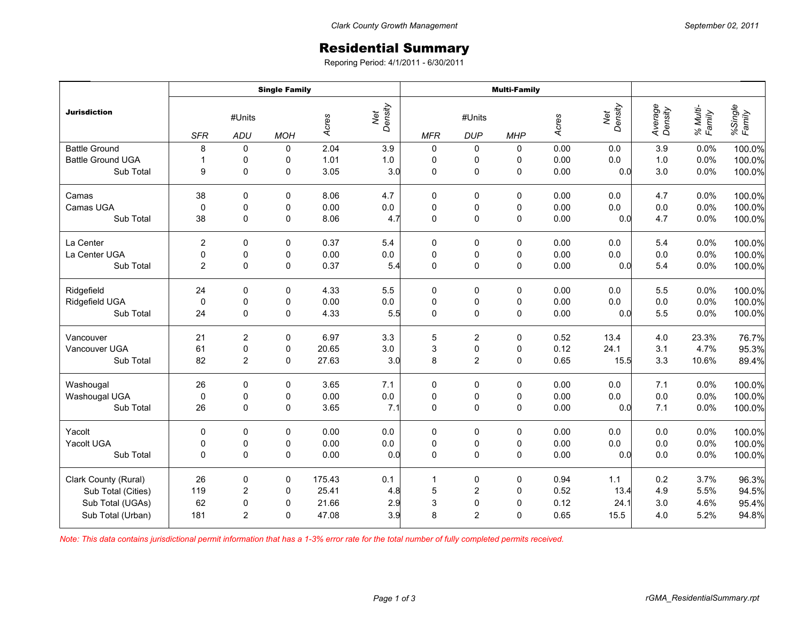## Residential Summary

Reporing Period: 4/1/2011 - 6/30/2011

|                          | <b>Single Family</b>        |                |            |        |                | <b>Multi-Family</b>                              |                     |             |       |                |                    |                    |                   |
|--------------------------|-----------------------------|----------------|------------|--------|----------------|--------------------------------------------------|---------------------|-------------|-------|----------------|--------------------|--------------------|-------------------|
| <b>Jurisdiction</b>      | #Units<br><b>SFR</b><br>ADU |                | <b>MOH</b> | Acres  | Net<br>Density | #Units<br><b>MFR</b><br><b>DUP</b><br><b>MHP</b> |                     |             | Acres | Net<br>Density | Average<br>Density | % Multi-<br>Family | %Single<br>Family |
| <b>Battle Ground</b>     | 8                           | 0              | 0          | 2.04   | 3.9            | 0                                                | 0                   | 0           | 0.00  | 0.0            | 3.9                | 0.0%               | 100.0%            |
| <b>Battle Ground UGA</b> | $\mathbf{1}$                | 0              | 0          | 1.01   | $1.0\,$        | 0                                                | 0                   | 0           | 0.00  | 0.0            | $1.0$              | 0.0%               | 100.0%            |
| Sub Total                | 9                           | 0              | 0          | 3.05   | 3.0            | $\pmb{0}$                                        | $\mathsf{O}\xspace$ | $\pmb{0}$   | 0.00  | 0.0            | 3.0                | 0.0%               | 100.0%            |
| Camas                    | 38                          | 0              | 0          | 8.06   | 4.7            | 0                                                | 0                   | 0           | 0.00  | 0.0            | 4.7                | 0.0%               | 100.0%            |
| Camas UGA                | 0                           | 0              | 0          | 0.00   | $0.0\,$        | $\pmb{0}$                                        | 0                   | 0           | 0.00  | 0.0            | $0.0\,$            | 0.0%               | 100.0%            |
| Sub Total                | 38                          | $\Omega$       | 0          | 8.06   | 4.7            | $\mathbf 0$                                      | $\pmb{0}$           | $\mathbf 0$ | 0.00  | 0.0            | 4.7                | 0.0%               | 100.0%            |
| La Center                | $\overline{c}$              | 0              | 0          | 0.37   | 5.4            | 0                                                | 0                   | 0           | 0.00  | 0.0            | 5.4                | 0.0%               | 100.0%            |
| La Center UGA            | 0                           | $\pmb{0}$      | 0          | 0.00   | $0.0\,$        | $\pmb{0}$                                        | $\pmb{0}$           | $\pmb{0}$   | 0.00  | 0.0            | 0.0                | 0.0%               | 100.0%            |
| Sub Total                | 2                           | $\mathbf 0$    | $\pmb{0}$  | 0.37   | 5.4            | $\mathbf 0$                                      | $\pmb{0}$           | $\pmb{0}$   | 0.00  | 0.0            | 5.4                | 0.0%               | 100.0%            |
| Ridgefield               | 24                          | 0              | 0          | 4.33   | 5.5            | 0                                                | 0                   | 0           | 0.00  | 0.0            | 5.5                | 0.0%               | 100.0%            |
| Ridgefield UGA           | 0                           | 0              | 0          | 0.00   | $0.0\,$        | $\pmb{0}$                                        | 0                   | 0           | 0.00  | 0.0            | $0.0\,$            | 0.0%               | 100.0%            |
| Sub Total                | 24                          | 0              | 0          | 4.33   | 5.5            | $\mathbf 0$                                      | $\mathsf{O}\xspace$ | $\pmb{0}$   | 0.00  | 0.0            | 5.5                | 0.0%               | 100.0%            |
| Vancouver                | 21                          | $\overline{c}$ | 0          | 6.97   | 3.3            | 5                                                | $\overline{2}$      | $\pmb{0}$   | 0.52  | 13.4           | 4.0                | 23.3%              | 76.7%             |
| Vancouver UGA            | 61                          | $\pmb{0}$      | 0          | 20.65  | 3.0            | $\mathbf{3}$                                     | $\pmb{0}$           | 0           | 0.12  | 24.1           | 3.1                | 4.7%               | 95.3%             |
| Sub Total                | 82                          | $\overline{2}$ | 0          | 27.63  | 3.0            | 8                                                | $\overline{2}$      | $\mathbf 0$ | 0.65  | 15.5           | 3.3                | 10.6%              | 89.4%             |
| Washougal                | 26                          | $\Omega$       | 0          | 3.65   | 7.1            | $\pmb{0}$                                        | 0                   | 0           | 0.00  | 0.0            | 7.1                | 0.0%               | 100.0%            |
| Washougal UGA            | 0                           | 0              | 0          | 0.00   | $0.0\,$        | $\pmb{0}$                                        | $\pmb{0}$           | $\pmb{0}$   | 0.00  | 0.0            | $0.0\,$            | 0.0%               | 100.0%            |
| Sub Total                | 26                          | 0              | 0          | 3.65   | 7.1            | $\mathbf 0$                                      | $\mathsf{O}\xspace$ | $\pmb{0}$   | 0.00  | 0.0            | 7.1                | 0.0%               | 100.0%            |
| Yacolt                   | $\Omega$                    | 0              | 0          | 0.00   | 0.0            | 0                                                | 0                   | 0           | 0.00  | 0.0            | 0.0                | 0.0%               | 100.0%            |
| Yacolt UGA               | 0                           | 0              | 0          | 0.00   | $0.0\,$        | $\pmb{0}$                                        | $\pmb{0}$           | 0           | 0.00  | 0.0            | $0.0\,$            | 0.0%               | 100.0%            |
| Sub Total                | $\Omega$                    | $\Omega$       | 0          | 0.00   | 0.0            | $\mathbf 0$                                      | $\mathbf 0$         | $\mathbf 0$ | 0.00  | 0.0            | 0.0                | 0.0%               | 100.0%            |
| Clark County (Rural)     | 26                          | 0              | 0          | 175.43 | 0.1            | $\mathbf{1}$                                     | $\pmb{0}$           | $\pmb{0}$   | 0.94  | 1.1            | 0.2                | 3.7%               | 96.3%             |
| Sub Total (Cities)       | 119                         | $\overline{c}$ | 0          | 25.41  | 4.8            | 5                                                | $\overline{2}$      | $\pmb{0}$   | 0.52  | 13.4           | 4.9                | 5.5%               | 94.5%             |
| Sub Total (UGAs)         | 62                          | $\pmb{0}$      | 0          | 21.66  | 2.9            | 3                                                | $\pmb{0}$           | $\mathbf 0$ | 0.12  | 24.1           | 3.0                | 4.6%               | 95.4%             |
| Sub Total (Urban)        | 181                         | $\overline{2}$ | $\Omega$   | 47.08  | 3.9            | 8                                                | $\overline{2}$      | $\mathbf 0$ | 0.65  | 15.5           | 4.0                | 5.2%               | 94.8%             |

*Note: This data contains jurisdictional permit information that has a 1-3% error rate for the total number of fully completed permits received.*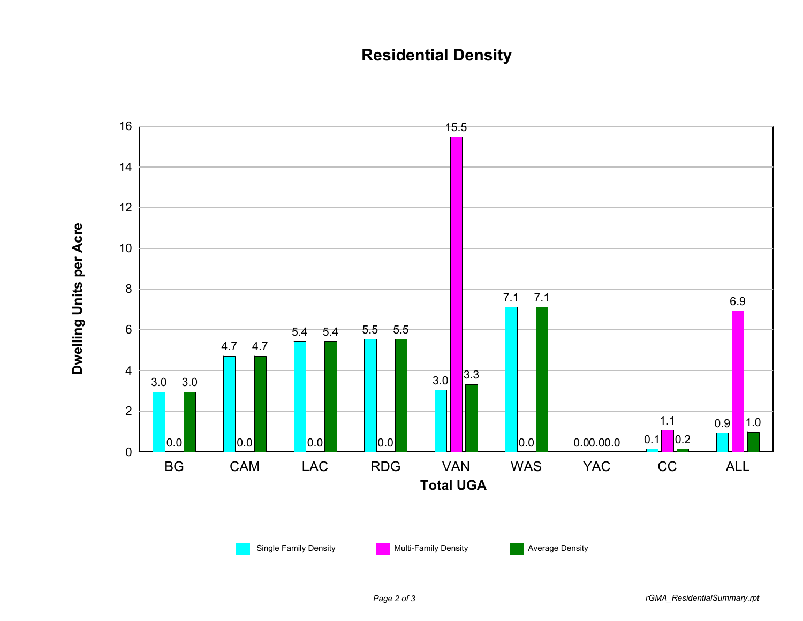## **Residential Density**